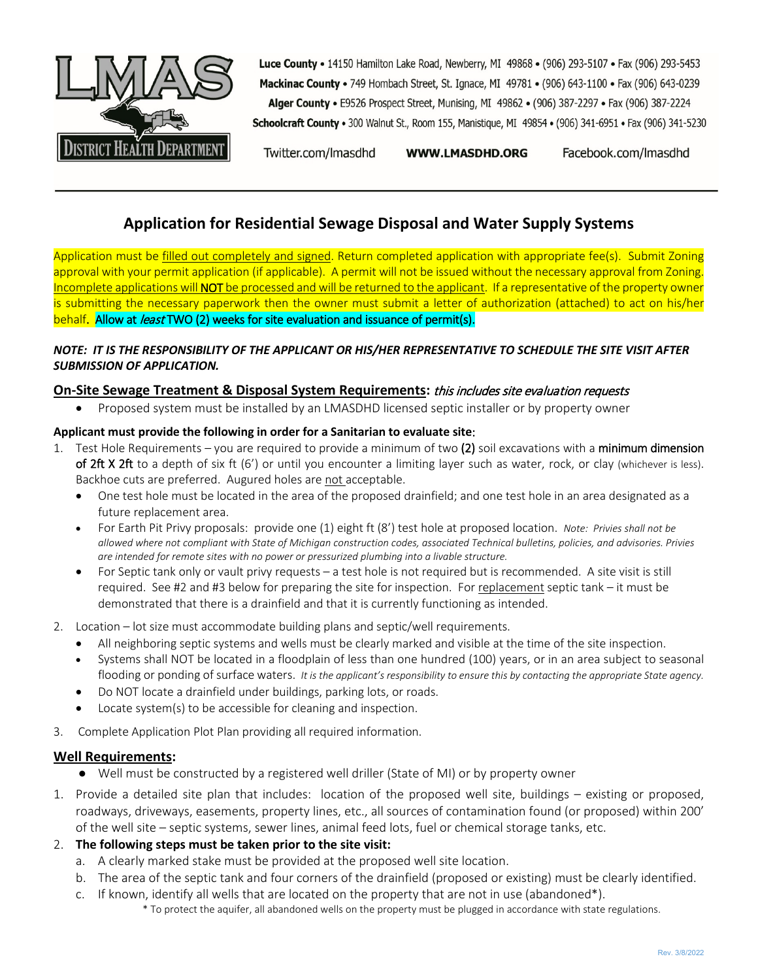

Luce County . 14150 Hamilton Lake Road, Newberry, MI 49868 . (906) 293-5107 . Fax (906) 293-5453 Mackinac County • 749 Hombach Street, St. Ignace, MI 49781 • (906) 643-1100 • Fax (906) 643-0239 Alger County . E9526 Prospect Street, Munising, MI 49862 . (906) 387-2297 . Fax (906) 387-2224 Schoolcraft County . 300 Walnut St., Room 155, Manistique, MI 49854 . (906) 341-6951 . Fax (906) 341-5230

Twitter.com/Imasdhd **WWW.LMASDHD.ORG** 

Facebook.com/Imasdhd

# **Application for Residential Sewage Disposal and Water Supply Systems**

Application must be filled out completely and signed. Return completed application with appropriate fee(s). Submit Zoning approval with your permit application (if applicable). A permit will not be issued without the necessary approval from Zoning. Incomplete applications will NOT be processed and will be returned to the applicant. If a representative of the property owner is submitting the necessary paperwork then the owner must submit a letter of authorization (attached) to act on his/her behalf. Allow at *least* TWO (2) weeks for site evaluation and issuance of permit(s).

# *NOTE: IT IS THE RESPONSIBILITY OF THE APPLICANT OR HIS/HER REPRESENTATIVE TO SCHEDULE THE SITE VISIT AFTER SUBMISSION OF APPLICATION.*

# **On-Site Sewage Treatment & Disposal System Requirements:** this includes site evaluation requests

• Proposed system must be installed by an LMASDHD licensed septic installer or by property owner

### **Applicant must provide the following in order for a Sanitarian to evaluate site**:

- 1. Test Hole Requirements you are required to provide a minimum of two (2) soil excavations with a minimum dimension of 2ft X 2ft to a depth of six ft (6') or until you encounter a limiting layer such as water, rock, or clay (whichever is less). Backhoe cuts are preferred. Augured holes are not acceptable.
	- One test hole must be located in the area of the proposed drainfield; and one test hole in an area designated as a future replacement area.
	- For Earth Pit Privy proposals: provide one (1) eight ft (8') test hole at proposed location. *Note: Privies shall not be allowed where not compliant with State of Michigan construction codes, associated Technical bulletins, policies, and advisories. Privies are intended for remote sites with no power or pressurized plumbing into a livable structure.*
	- For Septic tank only or vault privy requests a test hole is not required but is recommended. A site visit is still required. See #2 and #3 below for preparing the site for inspection. For replacement septic tank – it must be demonstrated that there is a drainfield and that it is currently functioning as intended.
- 2. Location lot size must accommodate building plans and septic/well requirements.
	- All neighboring septic systems and wells must be clearly marked and visible at the time of the site inspection.
	- Systems shall NOT be located in a floodplain of less than one hundred (100) years, or in an area subject to seasonal flooding or ponding of surface waters. *It is the applicant's responsibility to ensure this by contacting the appropriate State agency.*
	- Do NOT locate a drainfield under buildings, parking lots, or roads.
	- Locate system(s) to be accessible for cleaning and inspection.
- 3. Complete Application Plot Plan providing all required information.

### **Well Requirements:**

- Well must be constructed by a registered well driller (State of MI) or by property owner
- 1. Provide a detailed site plan that includes: location of the proposed well site, buildings existing or proposed, roadways, driveways, easements, property lines, etc., all sources of contamination found (or proposed) within 200' of the well site – septic systems, sewer lines, animal feed lots, fuel or chemical storage tanks, etc.

### 2. **The following steps must be taken prior to the site visit:**

- a. A clearly marked stake must be provided at the proposed well site location.
- b. The area of the septic tank and four corners of the drainfield (proposed or existing) must be clearly identified.
- c. If known, identify all wells that are located on the property that are not in use (abandoned\*).
	- \* To protect the aquifer, all abandoned wells on the property must be plugged in accordance with state regulations.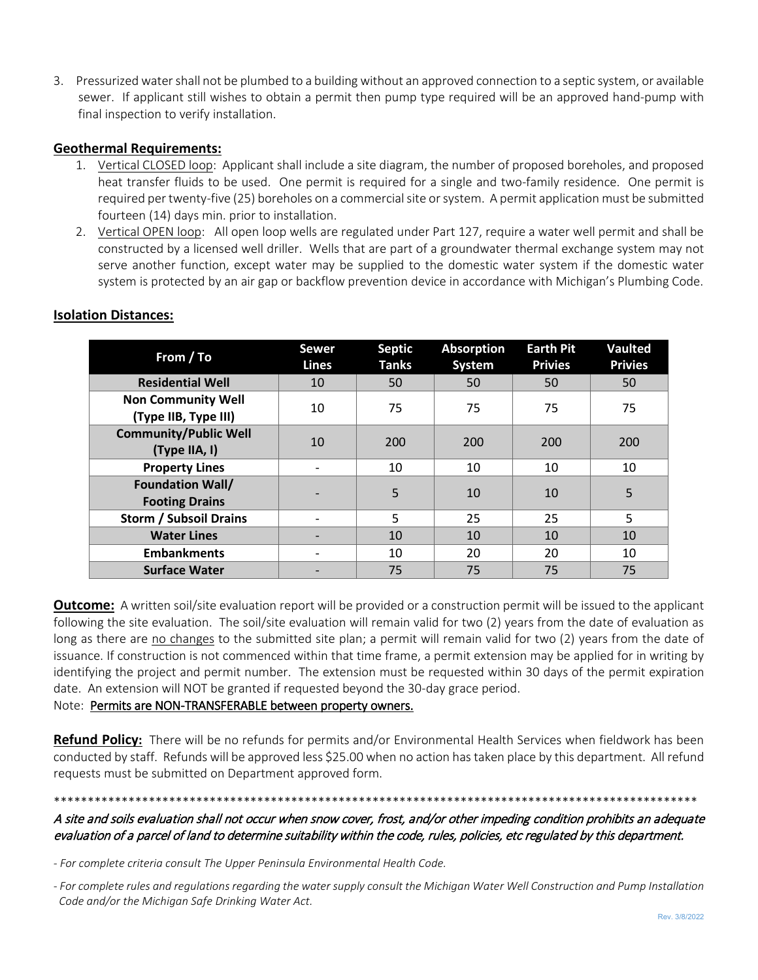3. Pressurized water shall not be plumbed to a building without an approved connection to a septic system, or available sewer. If applicant still wishes to obtain a permit then pump type required will be an approved hand-pump with final inspection to verify installation.

### **Geothermal Requirements:**

- 1. Vertical CLOSED loop: Applicant shall include a site diagram, the number of proposed boreholes, and proposed heat transfer fluids to be used. One permit is required for a single and two-family residence. One permit is required per twenty-five (25) boreholes on a commercial site or system. A permit application must be submitted fourteen (14) days min. prior to installation.
- 2. Vertical OPEN loop: All open loop wells are regulated under Part 127, require a water well permit and shall be constructed by a licensed well driller. Wells that are part of a groundwater thermal exchange system may not serve another function, except water may be supplied to the domestic water system if the domestic water system is protected by an air gap or backflow prevention device in accordance with Michigan's Plumbing Code.

| From / To                                         | <b>Sewer</b><br><b>Lines</b> | <b>Septic</b><br><b>Tanks</b> | <b>Absorption</b><br>System | <b>Earth Pit</b><br><b>Privies</b> | <b>Vaulted</b><br><b>Privies</b> |
|---------------------------------------------------|------------------------------|-------------------------------|-----------------------------|------------------------------------|----------------------------------|
| <b>Residential Well</b>                           | 10                           | 50                            | 50                          | 50                                 | 50                               |
| <b>Non Community Well</b><br>(Type IIB, Type III) | 10                           | 75                            | 75                          | 75                                 | 75                               |
| <b>Community/Public Well</b><br>(Type IIA, I)     | 10                           | 200                           | 200                         | 200                                | 200                              |
| <b>Property Lines</b>                             |                              | 10                            | 10                          | 10                                 | 10                               |
| <b>Foundation Wall/</b><br><b>Footing Drains</b>  |                              | 5                             | 10                          | 10                                 | 5                                |
| <b>Storm / Subsoil Drains</b>                     |                              | 5                             | 25                          | 25                                 | 5                                |
| <b>Water Lines</b>                                |                              | 10                            | 10                          | 10                                 | 10                               |
| <b>Embankments</b>                                |                              | 10                            | 20                          | 20                                 | 10                               |
| <b>Surface Water</b>                              |                              | 75                            | 75                          | 75                                 | 75                               |

# **Isolation Distances:**

**Outcome:** A written soil/site evaluation report will be provided or a construction permit will be issued to the applicant following the site evaluation. The soil/site evaluation will remain valid for two (2) years from the date of evaluation as long as there are no changes to the submitted site plan; a permit will remain valid for two (2) years from the date of issuance. If construction is not commenced within that time frame, a permit extension may be applied for in writing by identifying the project and permit number. The extension must be requested within 30 days of the permit expiration date. An extension will NOT be granted if requested beyond the 30-day grace period.

### Note: Permits are NON-TRANSFERABLE between property owners.

**Refund Policy:** There will be no refunds for permits and/or Environmental Health Services when fieldwork has been conducted by staff. Refunds will be approved less \$25.00 when no action has taken place by this department. All refund requests must be submitted on Department approved form.

# A site and soils evaluation shall not occur when snow cover, frost, and/or other impeding condition prohibits an adequate evaluation of a parcel of land to determine suitability within the code, rules, policies, etc regulated by this department.

\*\*\*\*\*\*\*\*\*\*\*\*\*\*\*\*\*\*\*\*\*\*\*\*\*\*\*\*\*\*\*\*\*\*\*\*\*\*\*\*\*\*\*\*\*\*\*\*\*\*\*\*\*\*\*\*\*\*\*\*\*\*\*\*\*\*\*\*\*\*\*\*\*\*\*\*\*\*\*\*\*\*\*\*\*\*\*\*\*\*\*\*\*\*\*

*- For complete criteria consult The Upper Peninsula Environmental Health Code.*

*<sup>-</sup> For complete rules and regulations regarding the water supply consult the Michigan Water Well Construction and Pump Installation Code and/or the Michigan Safe Drinking Water Act.*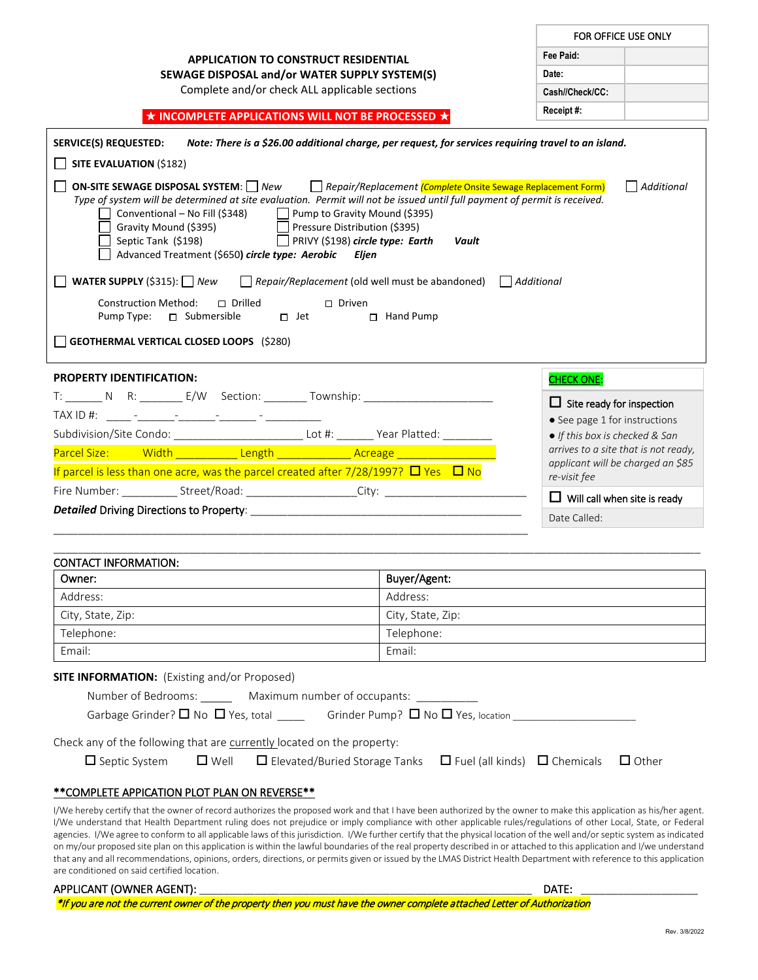| <b>APPLICATION TO CONSTRUCT RESIDENTIAL</b>                                                                                                                                                                                                                                                                                                                                                                                                                                                                                | Fee Paid:                                                                |                                                                   |  |  |  |
|----------------------------------------------------------------------------------------------------------------------------------------------------------------------------------------------------------------------------------------------------------------------------------------------------------------------------------------------------------------------------------------------------------------------------------------------------------------------------------------------------------------------------|--------------------------------------------------------------------------|-------------------------------------------------------------------|--|--|--|
| SEWAGE DISPOSAL and/or WATER SUPPLY SYSTEM(S)                                                                                                                                                                                                                                                                                                                                                                                                                                                                              | Date:                                                                    |                                                                   |  |  |  |
| Complete and/or check ALL applicable sections                                                                                                                                                                                                                                                                                                                                                                                                                                                                              | Cash//Check/CC:                                                          |                                                                   |  |  |  |
| $\star$ INCOMPLETE APPLICATIONS WILL NOT BE PROCESSED $\star$                                                                                                                                                                                                                                                                                                                                                                                                                                                              |                                                                          | Receipt#:                                                         |  |  |  |
|                                                                                                                                                                                                                                                                                                                                                                                                                                                                                                                            |                                                                          |                                                                   |  |  |  |
| <b>SERVICE(S) REQUESTED:</b><br>Note: There is a \$26.00 additional charge, per request, for services requiring travel to an island.                                                                                                                                                                                                                                                                                                                                                                                       |                                                                          |                                                                   |  |  |  |
| SITE EVALUATION (\$182)                                                                                                                                                                                                                                                                                                                                                                                                                                                                                                    |                                                                          |                                                                   |  |  |  |
| <b>ON-SITE SEWAGE DISPOSAL SYSTEM:</b> New Repair/Replacement <i>(Complete Onsite Sewage Replacement Form)</i><br>  Additional<br>Type of system will be determined at site evaluation. Permit will not be issued until full payment of permit is received.<br>Conventional - No Fill (\$348) Deump to Gravity Mound (\$395)<br>Gravity Mound (\$395)<br>Septic Tank (\$198)<br>Pressure Distribution (\$395)<br>$\Box$ PRIVY (\$198) circle type: Earth<br>Vault<br>Advanced Treatment (\$650) circle type: Aerobic Eljen |                                                                          |                                                                   |  |  |  |
| <b>WATER SUPPLY</b> (\$315): $\Box$ New                                                                                                                                                                                                                                                                                                                                                                                                                                                                                    | $\Box$ Repair/Replacement (old well must be abandoned) $\Box$ Additional |                                                                   |  |  |  |
| <b>Construction Method:</b><br>$\Box$ Drilled<br>$\Box$ Driven                                                                                                                                                                                                                                                                                                                                                                                                                                                             |                                                                          |                                                                   |  |  |  |
| Pump Type: □ Submersible<br>$\Box$ Jet                                                                                                                                                                                                                                                                                                                                                                                                                                                                                     | $\Box$ Hand Pump                                                         |                                                                   |  |  |  |
| <b>GEOTHERMAL VERTICAL CLOSED LOOPS (\$280)</b>                                                                                                                                                                                                                                                                                                                                                                                                                                                                            |                                                                          |                                                                   |  |  |  |
| <b>PROPERTY IDENTIFICATION:</b>                                                                                                                                                                                                                                                                                                                                                                                                                                                                                            |                                                                          | <b>CHECK ONE:</b>                                                 |  |  |  |
| T: N R: E/W Section: Township:                                                                                                                                                                                                                                                                                                                                                                                                                                                                                             |                                                                          |                                                                   |  |  |  |
|                                                                                                                                                                                                                                                                                                                                                                                                                                                                                                                            |                                                                          | $\Box$ Site ready for inspection<br>• See page 1 for instructions |  |  |  |
| Subdivision/Site Condo: ______________________________Lot #: ________ Year Platted: ________________                                                                                                                                                                                                                                                                                                                                                                                                                       |                                                                          | • If this box is checked & San                                    |  |  |  |
| Parcel Size: Width Length Length Acreage                                                                                                                                                                                                                                                                                                                                                                                                                                                                                   |                                                                          | arrives to a site that is not ready,                              |  |  |  |
| If parcel is less than one acre, was the parcel created after $7/28/1997$ ? $\Box$ Yes $\Box$ No                                                                                                                                                                                                                                                                                                                                                                                                                           |                                                                          | applicant will be charged an \$85<br>re-visit fee                 |  |  |  |
| Fire Number: _____________Street/Road: ______________________City: _________________________________                                                                                                                                                                                                                                                                                                                                                                                                                       |                                                                          | $\Box$ Will call when site is ready                               |  |  |  |
|                                                                                                                                                                                                                                                                                                                                                                                                                                                                                                                            |                                                                          | Date Called:                                                      |  |  |  |
|                                                                                                                                                                                                                                                                                                                                                                                                                                                                                                                            |                                                                          |                                                                   |  |  |  |
| <b>CONTACT INFORMATION:</b>                                                                                                                                                                                                                                                                                                                                                                                                                                                                                                |                                                                          |                                                                   |  |  |  |
| Owner:                                                                                                                                                                                                                                                                                                                                                                                                                                                                                                                     | Buyer/Agent:                                                             |                                                                   |  |  |  |
| Address:                                                                                                                                                                                                                                                                                                                                                                                                                                                                                                                   | Address:                                                                 |                                                                   |  |  |  |
| City, State, Zip:<br>City, State, Zip:                                                                                                                                                                                                                                                                                                                                                                                                                                                                                     |                                                                          |                                                                   |  |  |  |
| Telephone:<br>Telephone:                                                                                                                                                                                                                                                                                                                                                                                                                                                                                                   |                                                                          |                                                                   |  |  |  |
| Email:<br>Email:                                                                                                                                                                                                                                                                                                                                                                                                                                                                                                           |                                                                          |                                                                   |  |  |  |
| <b>SITE INFORMATION:</b> (Existing and/or Proposed)                                                                                                                                                                                                                                                                                                                                                                                                                                                                        |                                                                          |                                                                   |  |  |  |
| Number of Bedrooms: _________ Maximum number of occupants: ___________                                                                                                                                                                                                                                                                                                                                                                                                                                                     |                                                                          |                                                                   |  |  |  |
| Garbage Grinder? $\square$ No $\square$ Yes, total $\square$ Grinder Pump? $\square$ No $\square$ Yes, location $\square$                                                                                                                                                                                                                                                                                                                                                                                                  |                                                                          |                                                                   |  |  |  |
|                                                                                                                                                                                                                                                                                                                                                                                                                                                                                                                            |                                                                          |                                                                   |  |  |  |
| Check any of the following that are currently located on the property:<br>$\square$ Well<br>$\Box$ Septic System<br>$\Box$ Elevated/Buried Storage Tanks                                                                                                                                                                                                                                                                                                                                                                   | $\Box$ Fuel (all kinds) $\Box$ Chemicals                                 | $\Box$ Other                                                      |  |  |  |

### \*\*COMPLETE APPICATION PLOT PLAN ON REVERSE\*\*

I/We hereby certify that the owner of record authorizes the proposed work and that I have been authorized by the owner to make this application as his/her agent. I/We understand that Health Department ruling does not prejudice or imply compliance with other applicable rules/regulations of other Local, State, or Federal agencies. I/We agree to conform to all applicable laws of this jurisdiction. I/We further certify that the physical location of the well and/or septic system as indicated on my/our proposed site plan on this application is within the lawful boundaries of the real property described in or attached to this application and I/we understand that any and all recommendations, opinions, orders, directions, or permits given or issued by the LMAS District Health Department with reference to this application are conditioned on said certified location.

#### APPLICANT (OWNER AGENT): \_\_\_\_\_\_\_\_\_\_\_\_\_\_\_\_\_\_\_\_\_\_\_\_\_\_\_\_\_\_\_\_\_\_\_\_\_\_\_\_\_\_\_\_\_\_\_\_\_\_\_\_\_\_ DATE: \_\_\_\_\_\_\_\_\_\_\_\_\_\_\_\_\_\_\_

\*If you are not the current owner of the property then you must have the owner complete attached Letter of Authorization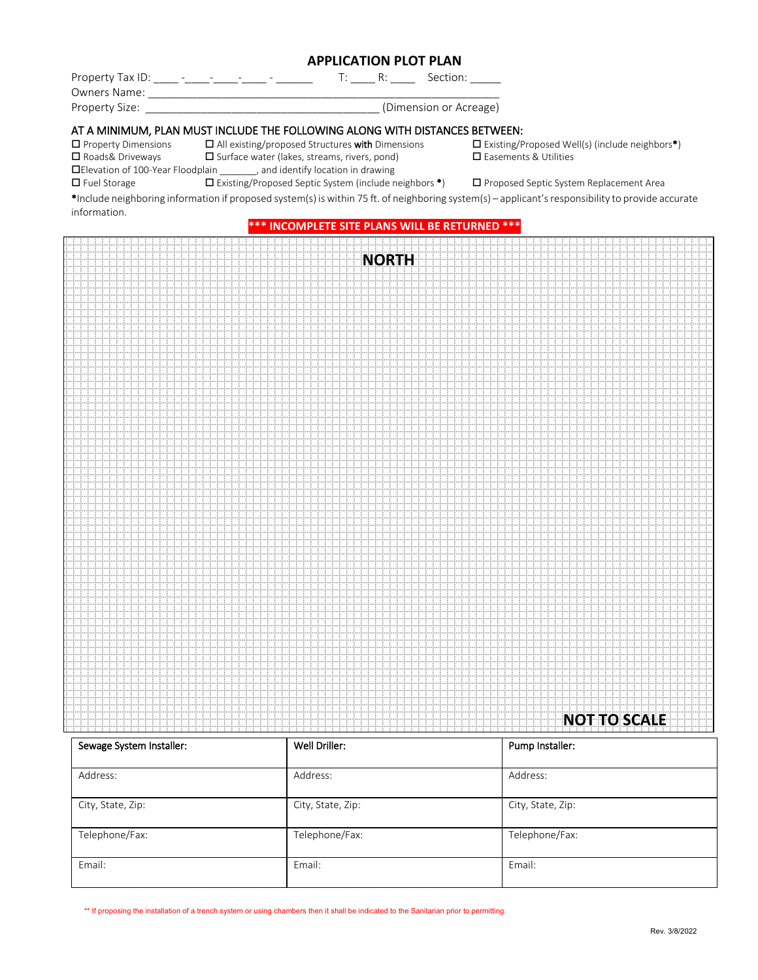### **APPLICATION PLOT PLAN**

| Property Tax ID: |  |  |  | Section:               |
|------------------|--|--|--|------------------------|
| Owners Name:     |  |  |  |                        |
| Property Size:   |  |  |  | (Dimension or Acreage) |

### AT A MINIMUM, PLAN MUST INCLUDE THE FOLLOWING ALONG WITH DISTANCES BETWEEN:

 $\Box$  Property Dimensions  $\Box$  All existing/proposed Structures with Dimensions  $\Box$  Existing/Proposed Well(s) (include neighbors\*)

 $\square$  Roads& Driveways  $\square$  Surface water (lakes, streams, rivers, pond)  $\square$  Easements & Utilities

Elevation of 100-Year Floodplain \_\_\_\_\_\_\_, and identify location in drawing

Fuel Storage Existing/Proposed Septic System (include neighbors \*) Proposed Septic System Replacement Area

\*Include neighboring information if proposed system(s) is within 75 ft. of neighboring system(s) – applicant's responsibility to provide accurate information.

#### **\*\*\* INCOMPLETE SITE PLANS WILL BE RETURNED \*\*\***

|  | <b>NORTH</b> |                     |
|--|--------------|---------------------|
|  |              |                     |
|  |              |                     |
|  |              |                     |
|  |              |                     |
|  |              |                     |
|  |              |                     |
|  |              |                     |
|  |              |                     |
|  |              |                     |
|  |              |                     |
|  |              |                     |
|  |              |                     |
|  |              |                     |
|  |              |                     |
|  |              |                     |
|  |              |                     |
|  |              |                     |
|  |              |                     |
|  |              |                     |
|  |              |                     |
|  |              |                     |
|  |              |                     |
|  |              |                     |
|  |              |                     |
|  |              |                     |
|  |              |                     |
|  |              |                     |
|  |              |                     |
|  |              |                     |
|  |              |                     |
|  |              |                     |
|  |              |                     |
|  |              |                     |
|  |              |                     |
|  |              |                     |
|  |              |                     |
|  |              |                     |
|  |              |                     |
|  |              |                     |
|  |              |                     |
|  |              |                     |
|  |              |                     |
|  |              |                     |
|  |              |                     |
|  |              |                     |
|  |              |                     |
|  |              |                     |
|  |              |                     |
|  |              | <b>NOT TO SCALE</b> |
|  |              |                     |

| Sewage System Installer: | Well Driller:     | Pump Installer:   |
|--------------------------|-------------------|-------------------|
|                          |                   |                   |
| Address:                 | Address:          | Address:          |
|                          |                   |                   |
| City, State, Zip:        | City, State, Zip: | City, State, Zip: |
|                          |                   |                   |
| Telephone/Fax:           | Telephone/Fax:    | Telephone/Fax:    |
|                          |                   |                   |
| Email:                   | Email:            | Email:            |
|                          |                   |                   |

\*\* If proposing the installation of a trench system or using chambers then it shall be indicated to the Sanitarian prior to permitting.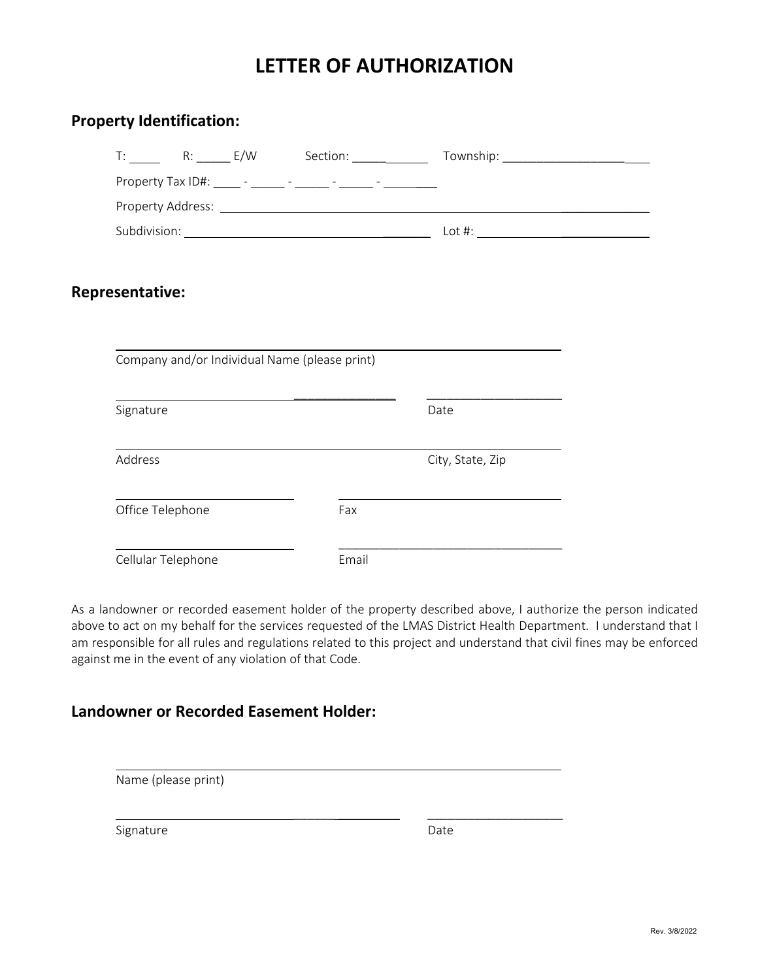# **LETTER OF AUTHORIZATION**

| <b>Property Identification:</b>                                          |       |                  |  |
|--------------------------------------------------------------------------|-------|------------------|--|
|                                                                          |       |                  |  |
|                                                                          |       |                  |  |
|                                                                          |       |                  |  |
|                                                                          |       |                  |  |
|                                                                          |       |                  |  |
| <b>Representative:</b>                                                   |       |                  |  |
|                                                                          |       |                  |  |
| Company and/or Individual Name (please print)                            |       |                  |  |
| <u> 1989 - Johann Stoff, Amerikaansk politiker (* 1908)</u><br>Signature |       | Date             |  |
| Address                                                                  |       | City, State, Zip |  |
| Office Telephone                                                         | Fax   |                  |  |
| Cellular Telephone                                                       | Email |                  |  |

As a landowner or recorded easement holder of the property described above, I authorize the person indicated above to act on my behalf for the services requested of the LMAS District Health Department. I understand that I am responsible for all rules and regulations related to this project and understand that civil fines may be enforced against me in the event of any violation of that Code.

# **Landowner or Recorded Easement Holder:**

Name (please print)

Signature Date Date

\_\_\_\_\_\_ \_\_\_\_\_\_\_\_\_ \_\_\_\_\_\_\_\_\_\_\_\_\_\_\_\_\_\_\_\_